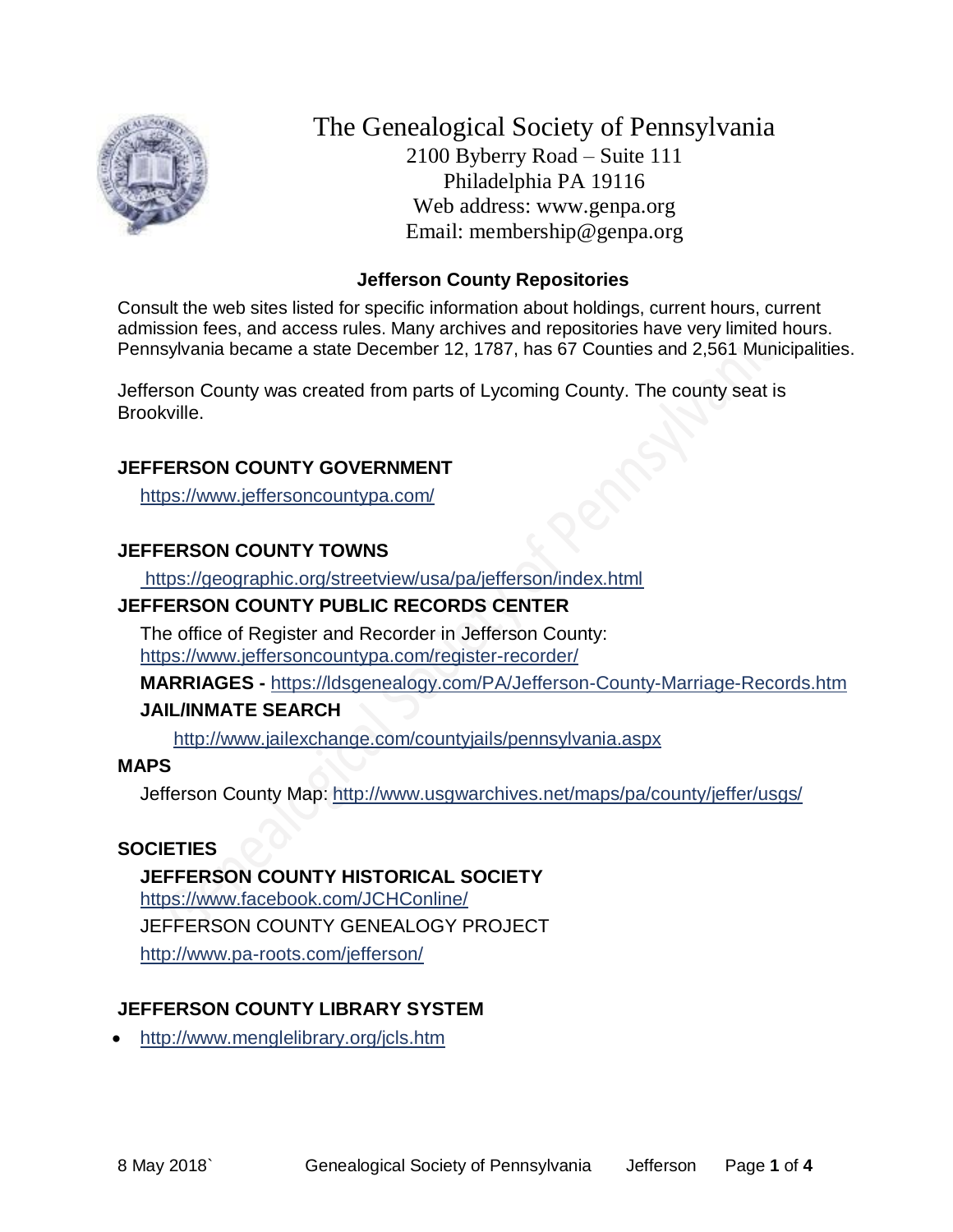

The Genealogical Society of Pennsylvania 2100 Byberry Road – Suite 111 Philadelphia PA 19116 Web address: www.genpa.org Email: membership@genpa.org

## **Jefferson County Repositories**

Consult the web sites listed for specific information about holdings, current hours, current admission fees, and access rules. Many archives and repositories have very limited hours. Pennsylvania became a state December 12, 1787, has 67 Counties and 2,561 Municipalities.

Jefferson County was created from parts of Lycoming County. The county seat is Brookville.

## **JEFFERSON COUNTY GOVERNMENT**

<https://www.jeffersoncountypa.com/>

# **JEFFERSON COUNTY TOWNS**

<https://geographic.org/streetview/usa/pa/jefferson/index.html>

# **JEFFERSON COUNTY PUBLIC RECORDS CENTER**

The office of Register and Recorder in Jefferson County: <https://www.jeffersoncountypa.com/register-recorder/>

**MARRIAGES -** <https://ldsgenealogy.com/PA/Jefferson-County-Marriage-Records.htm>

## **JAIL/INMATE SEARCH**

<http://www.jailexchange.com/countyjails/pennsylvania.aspx>

## **MAPS**

Jefferson County Map: <http://www.usgwarchives.net/maps/pa/county/jeffer/usgs/>

## **SOCIETIES**

**JEFFERSON COUNTY HISTORICAL SOCIETY** <https://www.facebook.com/JCHConline/> JEFFERSON COUNTY GENEALOGY PROJECT <http://www.pa-roots.com/jefferson/>

# **JEFFERSON COUNTY LIBRARY SYSTEM**

<http://www.menglelibrary.org/jcls.htm>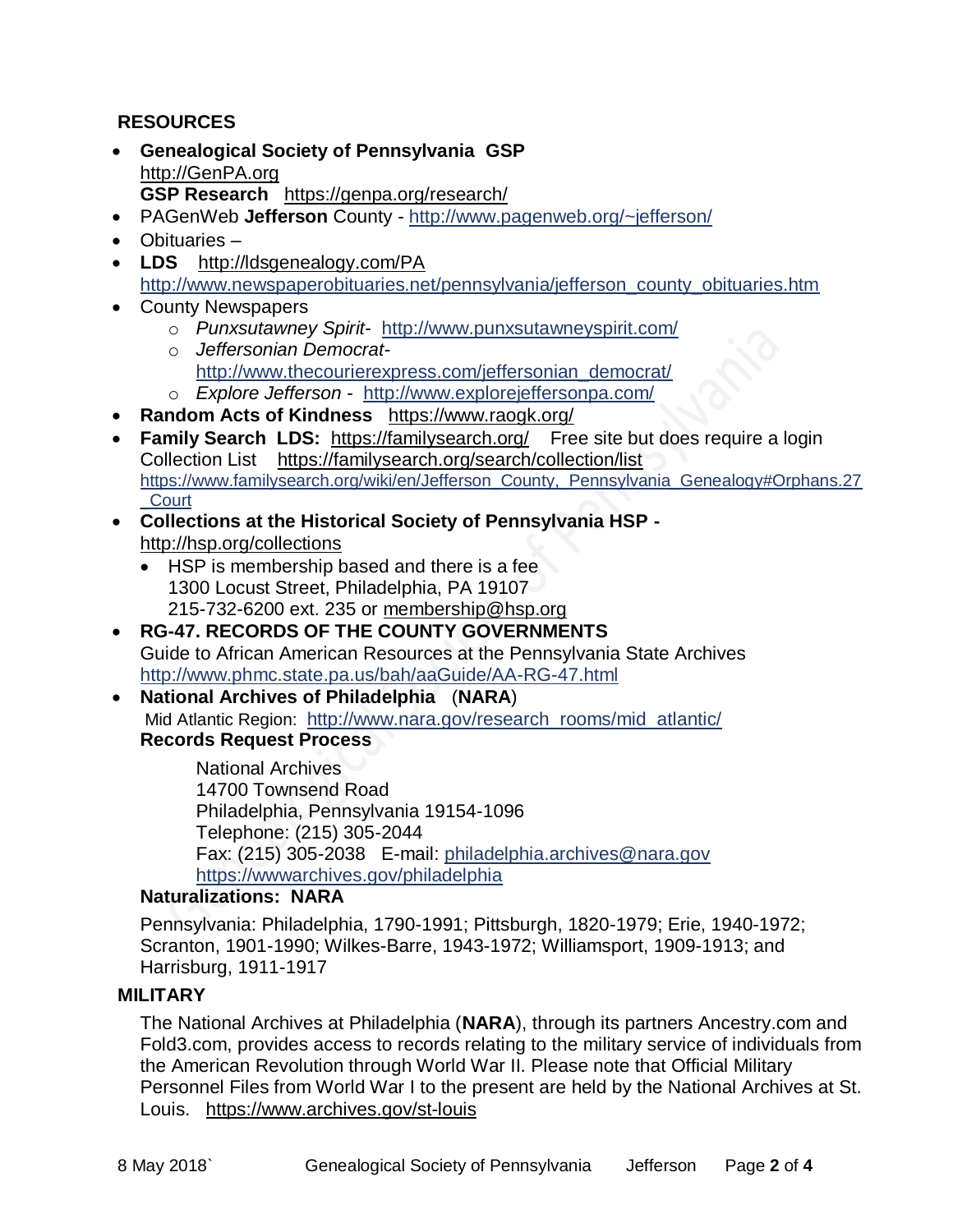# **RESOURCES**

- **Genealogical Society of Pennsylvania GSP** [http://GenPA.org](http://genpa.org/) **GSP Research** <https://genpa.org/research/>
- PAGenWeb **Jefferson** County <http://www.pagenweb.org/~jefferson/>
- Obituaries –
- **LDS** <http://ldsgenealogy.com/PA> [http://www.newspaperobituaries.net/pennsylvania/jefferson\\_county\\_obituaries.htm](http://www.newspaperobituaries.net/pennsylvania/jefferson_county_obituaries.htm)
- County Newspapers
	- o *Punxsutawney Spirit* <http://www.punxsutawneyspirit.com/>
	- o *Jeffersonian Democrat*[http://www.thecourierexpress.com/jeffersonian\\_democrat/](http://www.thecourierexpress.com/jeffersonian_democrat/)
	- o *Explore Jefferson* <http://www.explorejeffersonpa.com/>
- **Random Acts of Kindness** <https://www.raogk.org/>
- **Family Search LDS:** <https://familysearch.org/>Free site but does require a login Collection List <https://familysearch.org/search/collection/list> [https://www.familysearch.org/wiki/en/Jefferson\\_County,\\_Pennsylvania\\_Genealogy#Orphans.27](https://www.familysearch.org/wiki/en/Jefferson_County,_Pennsylvania_Genealogy%23Orphans.27_Court) [\\_Court](https://www.familysearch.org/wiki/en/Jefferson_County,_Pennsylvania_Genealogy%23Orphans.27_Court)
- **Collections at the Historical Society of Pennsylvania HSP**  <http://hsp.org/collections>
	- HSP is membership based and there is a fee 1300 Locust Street, Philadelphia, PA 19107 215-732-6200 ext. 235 or [membership@hsp.org](mailto:membership@hsp.org)
- **RG-47. RECORDS OF THE COUNTY GOVERNMENTS** Guide to African American Resources at the Pennsylvania State Archives <http://www.phmc.state.pa.us/bah/aaGuide/AA-RG-47.html>
- **National Archives of Philadelphia** (**NARA**) Mid Atlantic Region: [http://www.nara.gov/research\\_rooms/mid\\_atlantic/](http://www.nara.gov/research_rooms/mid_atlantic/) **Records Request Process**

National Archives 14700 Townsend Road Philadelphia, Pennsylvania 19154-1096 Telephone: (215) 305-2044 Fax: (215) 305-2038 E-mail: [philadelphia.archives@nara.gov](mailto:philadelphia.archives@nara.gov) <https://wwwarchives.gov/philadelphia>

#### **Naturalizations: NARA**

Pennsylvania: Philadelphia, 1790-1991; Pittsburgh, 1820-1979; Erie, 1940-1972; Scranton, 1901-1990; Wilkes-Barre, 1943-1972; Williamsport, 1909-1913; and Harrisburg, 1911-1917

## **MILITARY**

The National Archives at Philadelphia (**NARA**), through its partners Ancestry.com and Fold3.com, provides access to records relating to the military service of individuals from the American Revolution through World War II. Please note that Official Military Personnel Files from World War I to the present are held by the National Archives at St. Louis. <https://www.archives.gov/st-louis>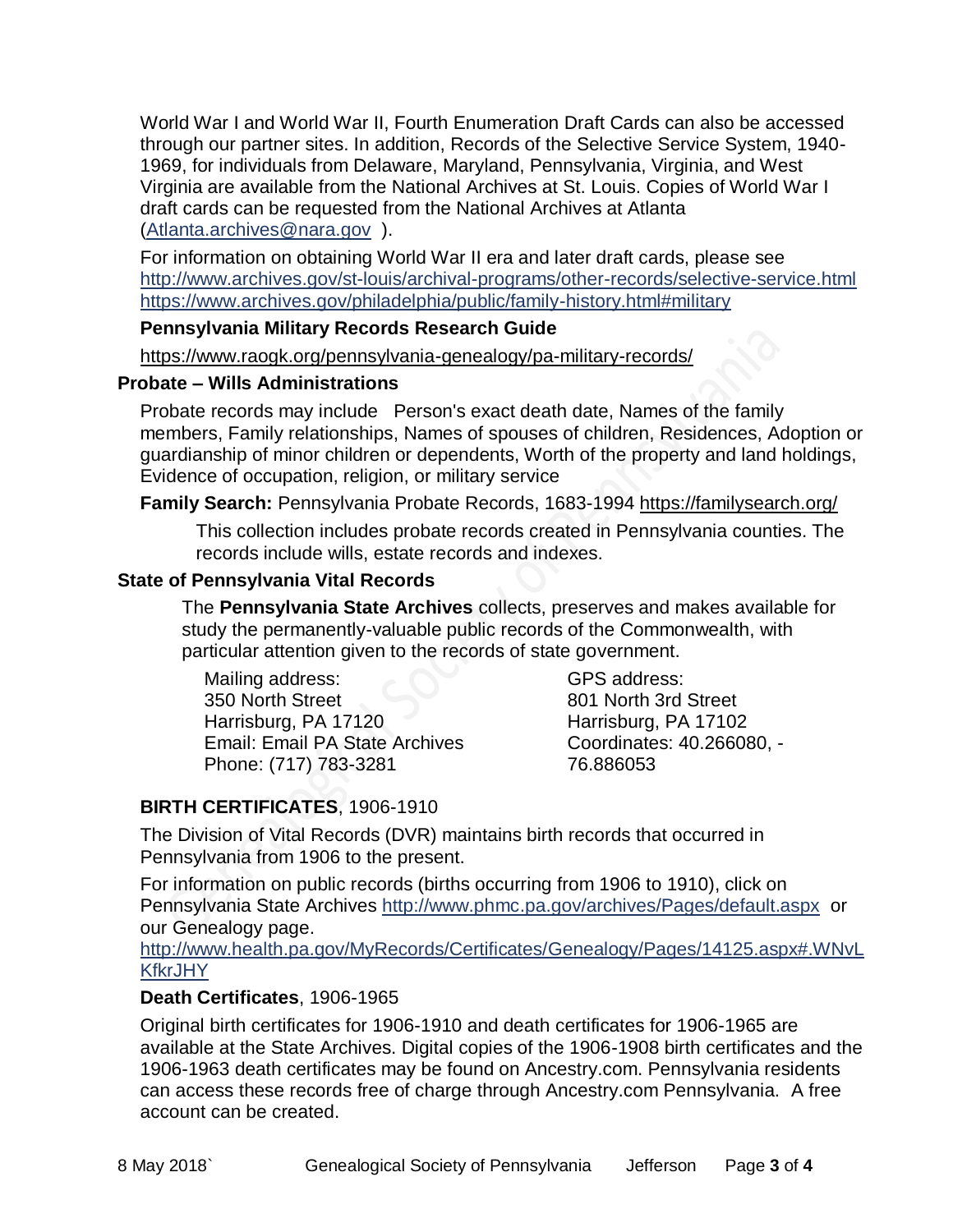World War I and World War II, Fourth Enumeration Draft Cards can also be accessed through our partner sites. In addition, Records of the Selective Service System, 1940- 1969, for individuals from Delaware, Maryland, Pennsylvania, Virginia, and West Virginia are available from the National Archives at St. Louis. Copies of World War I draft cards can be requested from the National Archives at Atlanta [\(Atlanta.archives@nara.gov](mailto:Atlanta.archives@nara.gov) ).

For information on obtaining World War II era and later draft cards, please see <http://www.archives.gov/st-louis/archival-programs/other-records/selective-service.html> <https://www.archives.gov/philadelphia/public/family-history.html#military>

#### **Pennsylvania Military Records Research Guide**

<https://www.raogk.org/pennsylvania-genealogy/pa-military-records/>

#### **Probate – Wills Administrations**

Probate records may include Person's exact death date, Names of the family members, Family relationships, Names of spouses of children, Residences, Adoption or guardianship of minor children or dependents, Worth of the property and land holdings, Evidence of occupation, religion, or military service

## **Family Search:** Pennsylvania Probate Records, 1683-1994 <https://familysearch.org/>

This collection includes probate records created in Pennsylvania counties. The records include wills, estate records and indexes.

## **State of Pennsylvania Vital Records**

The **Pennsylvania State Archives** collects, preserves and makes available for study the permanently-valuable public records of the Commonwealth, with particular attention given to the records of state government.

Mailing address: 350 North Street Harrisburg, PA 17120 Email: Email PA State Archives Phone: (717) 783-3281

GPS address: 801 North 3rd Street Harrisburg, PA 17102 Coordinates: 40.266080, - 76.886053

# **BIRTH CERTIFICATES**, 1906-1910

The Division of Vital Records (DVR) maintains birth records that occurred in Pennsylvania from 1906 to the present.

For information on public records (births occurring from 1906 to 1910), click on Pennsylvania State Archives <http://www.phmc.pa.gov/archives/Pages/default.aspx>or our Genealogy page.

[http://www.health.pa.gov/MyRecords/Certificates/Genealogy/Pages/14125.aspx#.WNvL](http://www.health.pa.gov/MyRecords/Certificates/Genealogy/Pages/14125.aspx#.WNvLKfkrJHY) **[KfkrJHY](http://www.health.pa.gov/MyRecords/Certificates/Genealogy/Pages/14125.aspx#.WNvLKfkrJHY)** 

## **Death Certificates**, 1906-1965

Original birth certificates for 1906-1910 and death certificates for 1906-1965 are available at the State Archives. Digital copies of the 1906-1908 birth certificates and the 1906-1963 death certificates may be found on Ancestry.com. Pennsylvania residents can access these records free of charge through Ancestry.com Pennsylvania. A free account can be created.